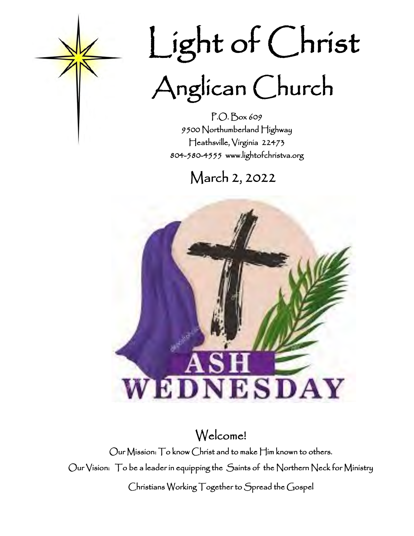

Light of Christ Anglican Church

P.O. Box 609 9500 Northumberland Highway Heathsville, Virginia 22473 804-580-4555 www.lightofchristva.org

March 2, 2022



# Welcome!

Our Mission: To know Christ and to make Him known to others. Our Vision: To be a leader in equipping the Saints of the Northern Neck for Ministry

Christians Working Together to Spread the Gospel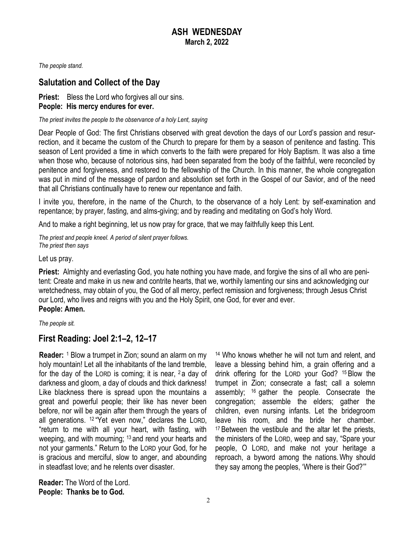*The people stand.* 

### **Salutation and Collect of the Day**

**Priest:** Bless the Lord who forgives all our sins. **People: His mercy endures for ever.** 

*The priest invites the people to the observance of a holy Lent, saying* 

Dear People of God: The first Christians observed with great devotion the days of our Lord's passion and resurrection, and it became the custom of the Church to prepare for them by a season of penitence and fasting. This season of Lent provided a time in which converts to the faith were prepared for Holy Baptism. It was also a time when those who, because of notorious sins, had been separated from the body of the faithful, were reconciled by penitence and forgiveness, and restored to the fellowship of the Church. In this manner, the whole congregation was put in mind of the message of pardon and absolution set forth in the Gospel of our Savior, and of the need that all Christians continually have to renew our repentance and faith.

I invite you, therefore, in the name of the Church, to the observance of a holy Lent: by self-examination and repentance; by prayer, fasting, and alms-giving; and by reading and meditating on God's holy Word.

And to make a right beginning, let us now pray for grace, that we may faithfully keep this Lent.

*The priest and people kneel. A period of silent prayer follows. The priest then says* 

Let us pray.

**Priest:** Almighty and everlasting God, you hate nothing you have made, and forgive the sins of all who are penitent: Create and make in us new and contrite hearts, that we, worthily lamenting our sins and acknowledging our wretchedness, may obtain of you, the God of all mercy, perfect remission and forgiveness; through Jesus Christ our Lord, who lives and reigns with you and the Holy Spirit, one God, for ever and ever. **People: Amen.** 

*The people sit.* 

### **First Reading: Joel 2:1–2, 12–17**

**Reader:** <sup>1</sup> Blow a trumpet in Zion; sound an alarm on my holy mountain! Let all the inhabitants of the land tremble, for the day of the LORD is coming; it is near, <sup>2</sup> a day of darkness and gloom, a day of clouds and thick darkness! Like blackness there is spread upon the mountains a great and powerful people; their like has never been before, nor will be again after them through the years of all generations. <sup>12</sup> "Yet even now," declares the LORD, "return to me with all your heart, with fasting, with weeping, and with mourning; <sup>13</sup> and rend your hearts and not your garments." Return to the LORD your God, for he is gracious and merciful, slow to anger, and abounding in steadfast love; and he relents over disaster.

**Reader:** The Word of the Lord. **People: Thanks be to God.**

<sup>14</sup> Who knows whether he will not turn and relent, and leave a blessing behind him, a grain offering and a drink offering for the LORD your God? <sup>15</sup> Blow the trumpet in Zion; consecrate a fast; call a solemn assembly; 16 gather the people. Consecrate the congregation; assemble the elders; gather the children, even nursing infants. Let the bridegroom leave his room, and the bride her chamber. <sup>17</sup> Between the vestibule and the altar let the priests, the ministers of the LORD, weep and say, "Spare your people, O LORD, and make not your heritage a reproach, a byword among the nations.Why should they say among the peoples, 'Where is their God?'"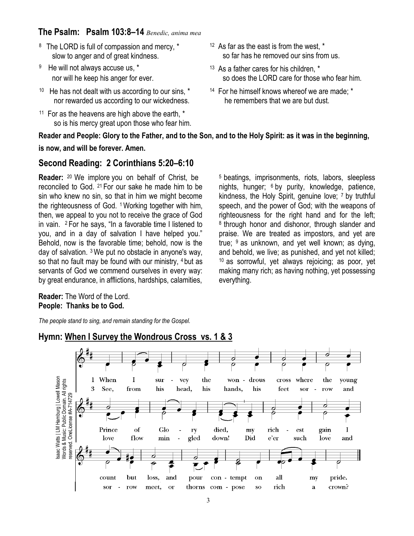### **The Psalm: Psalm 103:8–14** *Benedic, anima mea*

- <sup>8</sup> The LORD is full of compassion and mercy, \* slow to anger and of great kindness.
- nor will he keep his anger for ever. <sup>9</sup> He will not always accuse us, \*
- 10 He has not dealt with us according to our sins, \* nor rewarded us according to our wickedness.
- <sup>11</sup> For as the heavens are high above the earth, \* so is his mercy great upon those who fear him.
- 12 As far as the east is from the west, \* so far has he removed our sins from us.
- 13 As a father cares for his children, \* so does the LORD care for those who fear him.
- 14 For he himself knows whereof we are made; \* he remembers that we are but dust.

### **Reader and People: Glory to the Father, and to the Son, and to the Holy Spirit: as it was in the beginning,**

#### **is now, and will be forever. Amen.**

### **Second Reading: 2 Corinthians 5:20–6:10**

**Reader:** 20 We implore you on behalf of Christ, be reconciled to God. <sup>21</sup> For our sake he made him to be sin who knew no sin, so that in him we might become the righteousness of God. 1Working together with him, then, we appeal to you not to receive the grace of God in vain. <sup>2</sup> For he says, "In a favorable time I listened to you, and in a day of salvation I have helped you." Behold, now is the favorable time; behold, now is the day of salvation. 3We put no obstacle in anyone's way, so that no fault may be found with our ministry, 4 but as servants of God we commend ourselves in every way: by great endurance, in afflictions, hardships, calamities,

<sup>5</sup> beatings, imprisonments, riots, labors, sleepless nights, hunger; <sup>6</sup> by purity, knowledge, patience, kindness, the Holy Spirit, genuine love; <sup>7</sup> by truthful speech, and the power of God; with the weapons of righteousness for the right hand and for the left; 8 through honor and dishonor, through slander and praise. We are treated as impostors, and yet are true;  $9$  as unknown, and yet well known; as dying, and behold, we live; as punished, and yet not killed; <sup>10</sup> as sorrowful, yet always rejoicing; as poor, yet making many rich; as having nothing, yet possessing everything.

#### **Reader:** The Word of the Lord. **People: Thanks be to God.**

*The people stand to sing, and remain standing for the Gospel.*

![](_page_2_Figure_15.jpeg)

### **Hymn: When I Survey the Wondrous Cross vs. 1 & 3**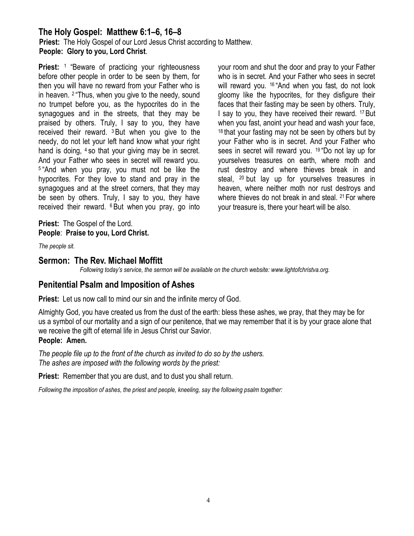### **The Holy Gospel: Matthew 6:1–6, 16–8**

**Priest:** The Holy Gospel of our Lord Jesus Christ according to Matthew. **People: Glory to you, Lord Christ**.

Priest: <sup>1</sup> "Beware of practicing your righteousness before other people in order to be seen by them, for then you will have no reward from your Father who is in heaven. <sup>2</sup> "Thus, when you give to the needy, sound no trumpet before you, as the hypocrites do in the synagogues and in the streets, that they may be praised by others. Truly, I say to you, they have received their reward. <sup>3</sup> But when you give to the needy, do not let your left hand know what your right hand is doing, <sup>4</sup> so that your giving may be in secret. And your Father who sees in secret will reward you. 5 "And when you pray, you must not be like the hypocrites. For they love to stand and pray in the synagogues and at the street corners, that they may be seen by others. Truly, I say to you, they have received their reward. 6 But when you pray, go into your room and shut the door and pray to your Father who is in secret. And your Father who sees in secret will reward you. <sup>16</sup> "And when you fast, do not look gloomy like the hypocrites, for they disfigure their faces that their fasting may be seen by others. Truly, I say to you, they have received their reward. 17But when you fast, anoint your head and wash your face, <sup>18</sup> that your fasting may not be seen by others but by your Father who is in secret. And your Father who sees in secret will reward you. <sup>19</sup> "Do not lay up for yourselves treasures on earth, where moth and rust destroy and where thieves break in and steal, <sup>20</sup> but lay up for yourselves treasures in heaven, where neither moth nor rust destroys and where thieves do not break in and steal. <sup>21</sup> For where your treasure is, there your heart will be also.

**Priest:** The Gospel of the Lord. **People**: **Praise to you, Lord Christ.**

*The people sit.*

#### **Sermon: The Rev. Michael Moffitt**

*Following today's service, the sermon will be available on the church website: www.lightofchristva.org.*

### **Penitential Psalm and Imposition of Ashes**

**Priest:** Let us now call to mind our sin and the infinite mercy of God.

Almighty God, you have created us from the dust of the earth: bless these ashes, we pray, that they may be for us a symbol of our mortality and a sign of our penitence, that we may remember that it is by your grace alone that we receive the gift of eternal life in Jesus Christ our Savior. **People: Amen.**

*The people file up to the front of the church as invited to do so by the ushers. The ashes are imposed with the following words by the priest:*

**Priest:** Remember that you are dust, and to dust you shall return.

*Following the imposition of ashes, the priest and people, kneeling, say the following psalm together:*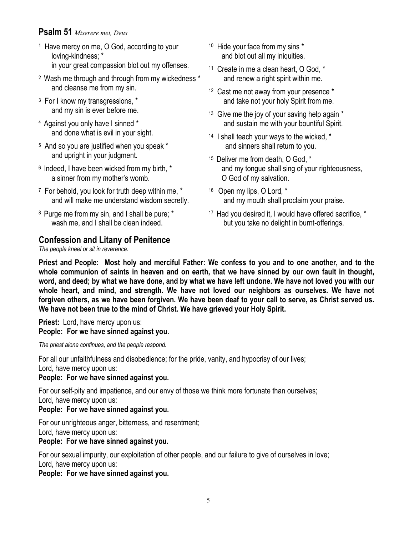#### **Psalm 51** *Miserere mei, Deus*

- <sup>1</sup> Have mercy on me, O God, according to your loving-kindness; \* in your great compassion blot out my offenses.
- <sup>2</sup> Wash me through and through from my wickedness \* and cleanse me from my sin.
- 3 For I know my transgressions, \* and my sin is ever before me.
- <sup>4</sup> Against you only have I sinned \* and done what is evil in your sight.
- 5 And so you are justified when you speak \* and upright in your judgment.
- <sup>6</sup> Indeed, I have been wicked from my birth, \* a sinner from my mother's womb.
- 7 For behold, you look for truth deep within me, \* and will make me understand wisdom secretly.
- <sup>8</sup> Purge me from my sin, and I shall be pure; \* wash me, and I shall be clean indeed.

# **Confession and Litany of Penitence**

*The people kneel or sit in reverence.*

- 10 Hide your face from my sins \* and blot out all my iniquities.
- 11 Create in me a clean heart, O God, \* and renew a right spirit within me.
- 12 Cast me not away from your presence \* and take not your holy Spirit from me.
- <sup>13</sup> Give me the joy of your saving help again \* and sustain me with your bountiful Spirit.
- 14 I shall teach your ways to the wicked, \* and sinners shall return to you.
- <sup>15</sup> Deliver me from death, O God, \* and my tongue shall sing of your righteousness, O God of my salvation.
- 16 Open my lips, O Lord, \* and my mouth shall proclaim your praise.
- <sup>17</sup> Had you desired it, I would have offered sacrifice, \* but you take no delight in burnt-offerings.

**Priest and People: Most holy and merciful Father: We confess to you and to one another, and to the whole communion of saints in heaven and on earth, that we have sinned by our own fault in thought, word, and deed; by what we have done, and by what we have left undone. We have not loved you with our whole heart, and mind, and strength. We have not loved our neighbors as ourselves. We have not forgiven others, as we have been forgiven. We have been deaf to your call to serve, as Christ served us. We have not been true to the mind of Christ. We have grieved your Holy Spirit.**

**Priest:** Lord, have mercy upon us: **People: For we have sinned against you.**

*The priest alone continues, and the people respond.*

For all our unfaithfulness and disobedience; for the pride, vanity, and hypocrisy of our lives; Lord, have mercy upon us:

### **People: For we have sinned against you.**

For our self-pity and impatience, and our envy of those we think more fortunate than ourselves; Lord, have mercy upon us:

### **People: For we have sinned against you.**

For our unrighteous anger, bitterness, and resentment; Lord, have mercy upon us:

### **People: For we have sinned against you.**

For our sexual impurity, our exploitation of other people, and our failure to give of ourselves in love; Lord, have mercy upon us:

### **People: For we have sinned against you.**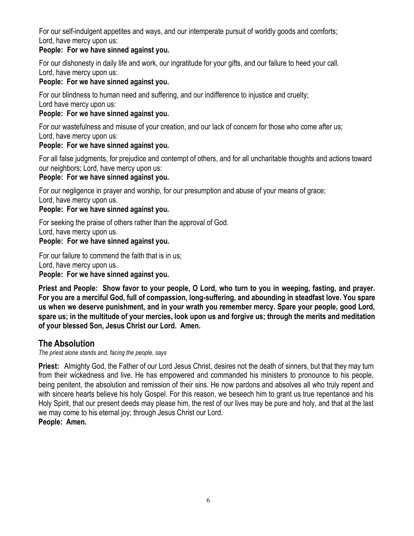For our self-indulgent appetites and ways, and our intemperate pursuit of worldly goods and comforts; Lord, have mercy upon us:

#### **People: For we have sinned against you.**

For our dishonesty in daily life and work, our ingratitude for your gifts, and our failure to heed your call. Lord, have mercy upon us:

#### **People: For we have sinned against you.**

For our blindness to human need and suffering, and our indifference to injustice and cruelty; Lord have mercy upon us:

#### **People: For we have sinned against you.**

For our wastefulness and misuse of your creation, and our lack of concern for those who come after us; Lord, have mercy upon us:

#### **People: For we have sinned against you.**

For all false judgments, for prejudice and contempt of others, and for all uncharitable thoughts and actions toward our neighbors; Lord, have mercy upon us:

#### **People: For we have sinned against you.**

For our negligence in prayer and worship, for our presumption and abuse of your means of grace; Lord, have mercy upon us.

#### **People: For we have sinned against you.**

For seeking the praise of others rather than the approval of God. Lord, have mercy upon us.

#### **People: For we have sinned against you.**

For our failure to commend the faith that is in us; Lord, have mercy upon us.

**People: For we have sinned against you.**

**Priest and People: Show favor to your people, O Lord, who turn to you in weeping, fasting, and prayer. For you are a merciful God, full of compassion, long-suffering, and abounding in steadfast love. You spare us when we deserve punishment, and in your wrath you remember mercy. Spare your people, good Lord, spare us; in the multitude of your mercies, look upon us and forgive us; through the merits and meditation of your blessed Son, Jesus Christ our Lord. Amen.**

### **The Absolution**

*The priest alone stands and, facing the people, says*

**Priest:** Almighty God, the Father of our Lord Jesus Christ, desires not the death of sinners, but that they may turn from their wickedness and live. He has empowered and commanded his ministers to pronounce to his people, being penitent, the absolution and remission of their sins. He now pardons and absolves all who truly repent and with sincere hearts believe his holy Gospel. For this reason, we beseech him to grant us true repentance and his Holy Spirit, that our present deeds may please him, the rest of our lives may be pure and holy, and that at the last we may come to his eternal joy; through Jesus Christ our Lord.

#### **People: Amen.**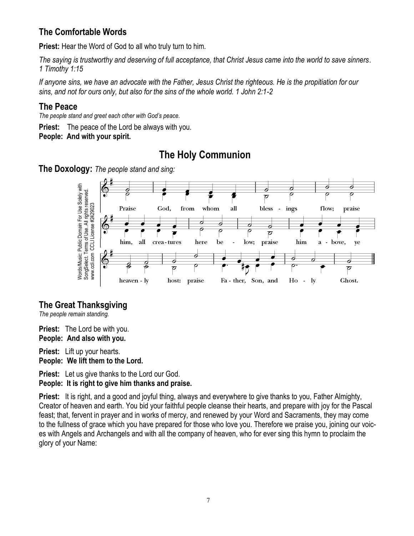### **The Comfortable Words**

**Priest:** Hear the Word of God to all who truly turn to him.

*The saying is trustworthy and deserving of full acceptance, that Christ Jesus came into the world to save sinners*. *1 Timothy 1:15*

*If anyone sins, we have an advocate with the Father, Jesus Christ the righteous. He is the propitiation for our sins, and not for ours only, but also for the sins of the whole world. 1 John 2:1-2*

### **The Peace**

*The people stand and greet each other with God's peace.*

**Priest:** The peace of the Lord be always with you.

**People: And with your spirit.**

# **The Holy Communion**

**The Doxology:** *The people stand and sing:*

![](_page_6_Figure_10.jpeg)

### **The Great Thanksgiving**

*The people remain standing.*

**Priest:** The Lord be with you.

**People: And also with you.**

**Priest:** Lift up your hearts.

**People: We lift them to the Lord.**

**Priest:** Let us give thanks to the Lord our God.

**People: It is right to give him thanks and praise.**

**Priest:** It is right, and a good and joyful thing, always and everywhere to give thanks to you, Father Almighty, Creator of heaven and earth. You bid your faithful people cleanse their hearts, and prepare with joy for the Pascal feast; that, fervent in prayer and in works of mercy, and renewed by your Word and Sacraments, they may come to the fullness of grace which you have prepared for those who love you. Therefore we praise you, joining our voices with Angels and Archangels and with all the company of heaven, who for ever sing this hymn to proclaim the glory of your Name: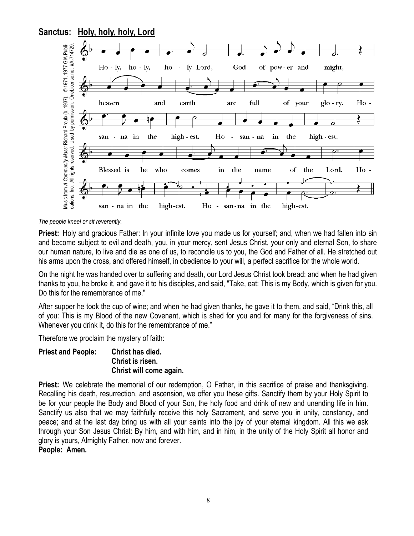### **Sanctus: Holy, holy, holy, Lord**

![](_page_7_Figure_1.jpeg)

*The people kneel or sit reverently.*

**Priest:** Holy and gracious Father: In your infinite love you made us for yourself; and, when we had fallen into sin and become subject to evil and death, you, in your mercy, sent Jesus Christ, your only and eternal Son, to share our human nature, to live and die as one of us, to reconcile us to you, the God and Father of all. He stretched out his arms upon the cross, and offered himself, in obedience to your will, a perfect sacrifice for the whole world.

On the night he was handed over to suffering and death, our Lord Jesus Christ took bread; and when he had given thanks to you, he broke it, and gave it to his disciples, and said, "Take, eat: This is my Body, which is given for you. Do this for the remembrance of me."

After supper he took the cup of wine; and when he had given thanks, he gave it to them, and said, "Drink this, all of you: This is my Blood of the new Covenant, which is shed for you and for many for the forgiveness of sins. Whenever you drink it, do this for the remembrance of me."

Therefore we proclaim the mystery of faith:

| <b>Priest and People:</b> | Christ has died.        |
|---------------------------|-------------------------|
|                           | Christ is risen.        |
|                           | Christ will come again. |

**Priest:** We celebrate the memorial of our redemption, O Father, in this sacrifice of praise and thanksgiving. Recalling his death, resurrection, and ascension, we offer you these gifts. Sanctify them by your Holy Spirit to be for your people the Body and Blood of your Son, the holy food and drink of new and unending life in him. Sanctify us also that we may faithfully receive this holy Sacrament, and serve you in unity, constancy, and peace; and at the last day bring us with all your saints into the joy of your eternal kingdom. All this we ask through your Son Jesus Christ: By him, and with him, and in him, in the unity of the Holy Spirit all honor and glory is yours, Almighty Father, now and forever.

**People: Amen.**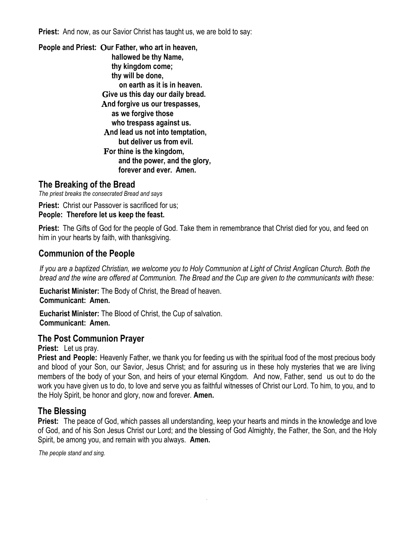**Priest:** And now, as our Savior Christ has taught us, we are bold to say:

**People and Priest:** O**ur Father, who art in heaven,** 

**hallowed be thy Name, thy kingdom come; thy will be done, on earth as it is in heaven.** G**ive us this day our daily bread.**  A**nd forgive us our trespasses, as we forgive those who trespass against us.** A**nd lead us not into temptation, but deliver us from evil.**  F**or thine is the kingdom, and the power, and the glory, forever and ever. Amen.**

#### **The Breaking of the Bread**

*The priest breaks the consecrated Bread and says*

**Priest:** Christ our Passover is sacrificed for us: **People: Therefore let us keep the feast.** 

**Priest:** The Gifts of God for the people of God. Take them in remembrance that Christ died for you, and feed on him in your hearts by faith, with thanksgiving.

#### **Communion of the People**

*If you are a baptized Christian, we welcome you to Holy Communion at Light of Christ Anglican Church. Both the bread and the wine are offered at Communion. The Bread and the Cup are given to the communicants with these:*

**Eucharist Minister:** The Body of Christ, the Bread of heaven. **Communicant: Amen.**

**Eucharist Minister:** The Blood of Christ, the Cup of salvation. **Communicant: Amen.**

#### **The Post Communion Prayer**

**Priest:** Let us pray.

**Priest and People:** Heavenly Father, we thank you for feeding us with the spiritual food of the most precious body and blood of your Son, our Savior, Jesus Christ; and for assuring us in these holy mysteries that we are living members of the body of your Son, and heirs of your eternal Kingdom. And now, Father, send us out to do the work you have given us to do, to love and serve you as faithful witnesses of Christ our Lord. To him, to you, and to the Holy Spirit, be honor and glory, now and forever. **Amen.**

#### **The Blessing**

**Priest:** The peace of God, which passes all understanding, keep your hearts and minds in the knowledge and love of God, and of his Son Jesus Christ our Lord; and the blessing of God Almighty, the Father, the Son, and the Holy Spirit, be among you, and remain with you always. **Amen.**

9

*The people stand and sing.*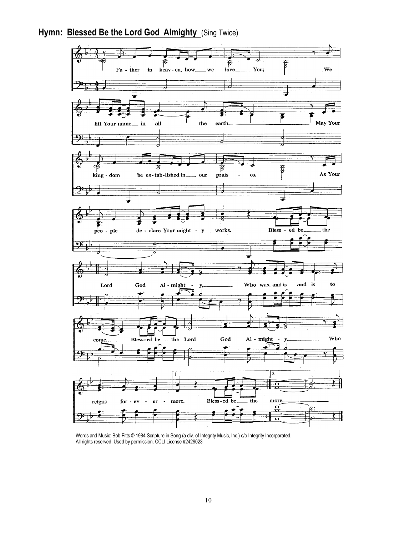Hymn: **Blessed Be the Lord God Almighty** (Sing Twice)

![](_page_9_Figure_1.jpeg)

Words and Music: Bob Fitts © 1984 Scripture in Song (a div. of Integrity Music, Inc.) c/o Integrity Incorporated. All rights reserved. Used by permission. CCLI License #2429023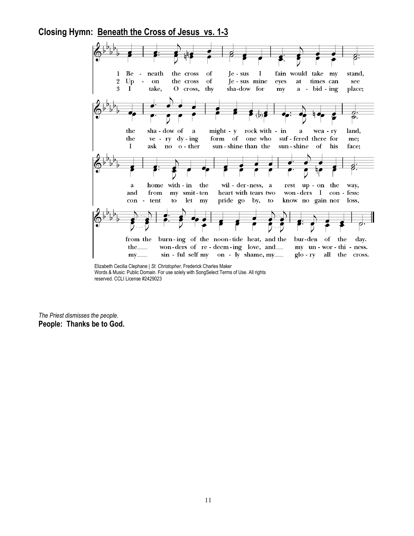#### **Closing Hymn: Beneath the Cross of Jesus vs. 1-3**

![](_page_10_Figure_1.jpeg)

Words & Music: Public Domain. For use solely with SongSelect Terms of Use. All rights reserved. CCLI License #2429023

*The Priest dismisses the people.* **People: Thanks be to God.**